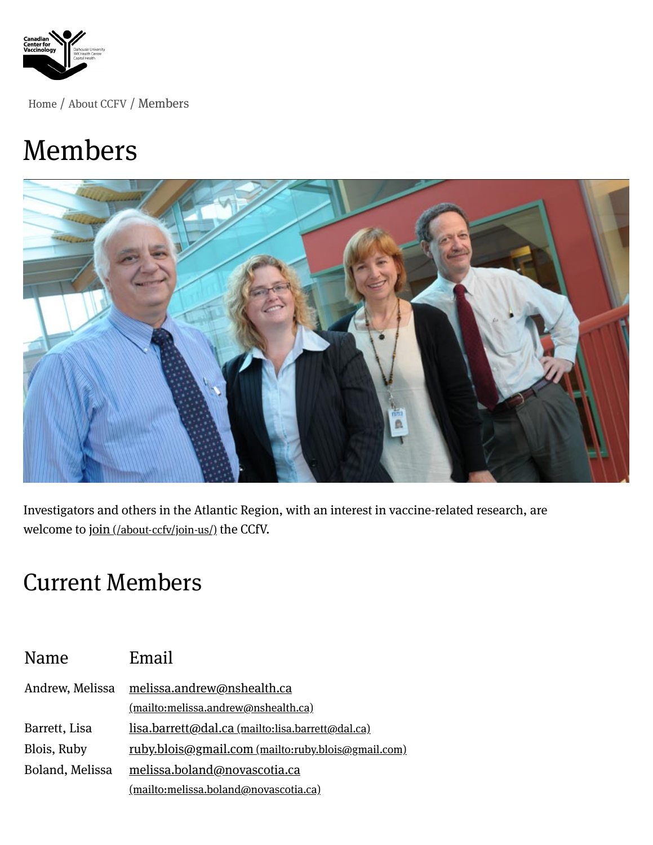

[Home](https://centerforvaccinology.ca/) / [About](https://centerforvaccinology.ca/about-ccfv/) CCFV / Members

## Members



Investigators and others in the Atlantic Region, with an interest in vaccine-related research, are welcome to join [\(/about-ccfv/join-us/\)](https://centerforvaccinology.ca/about-ccfv/join-us/) the CCfV.

## Current Members

| Name            | Email                                                     |
|-----------------|-----------------------------------------------------------|
| Andrew, Melissa | melissa.andrew@nshealth.ca                                |
|                 | (mailto:melissa.andrew@nshealth.ca)                       |
| Barrett, Lisa   | lisa.barrett@dal.ca (mailto:lisa.barrett@dal.ca)          |
| Blois, Ruby     | <u>ruby.blois@gmail.com (mailto:ruby.blois@gmail.com)</u> |
| Boland, Melissa | melissa.boland@novascotia.ca                              |
|                 | (mailto:melissa.boland@novascotia.ca)                     |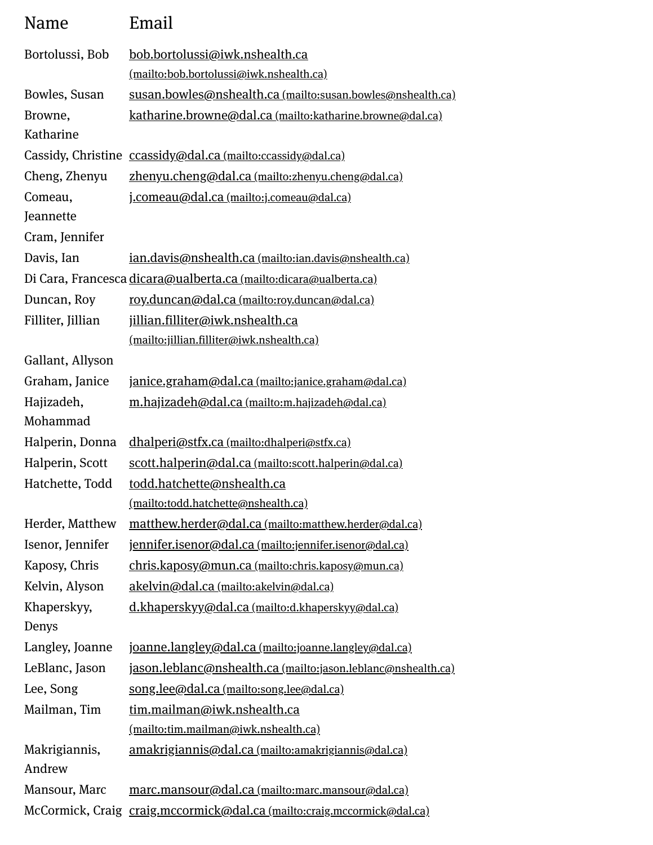| Name              | Email                                                                   |
|-------------------|-------------------------------------------------------------------------|
| Bortolussi, Bob   | bob.bortolussi@iwk.nshealth.ca                                          |
|                   | (mailto:bob.bortolussi@iwk.nshealth.ca)                                 |
| Bowles, Susan     | susan.bowles@nshealth.ca (mailto:susan.bowles@nshealth.ca)              |
| Browne,           | katharine.browne@dal.ca (mailto:katharine.browne@dal.ca)                |
| Katharine         |                                                                         |
|                   | Cassidy, Christine ccassidy@dal.ca (mailto:ccassidy@dal.ca)             |
| Cheng, Zhenyu     | zhenyu.cheng@dal.ca (mailto:zhenyu.cheng@dal.ca)                        |
| Comeau,           | <u>j.comeau@dal.ca (mailto:j.comeau@dal.ca)</u>                         |
| Jeannette         |                                                                         |
| Cram, Jennifer    |                                                                         |
| Davis, Ian        | ian.davis@nshealth.ca (mailto:ian.davis@nshealth.ca)                    |
|                   | Di Cara, Francesca dicara@ualberta.ca (mailto:dicara@ualberta.ca)       |
| Duncan, Roy       | roy.duncan@dal.ca (mailto:roy.duncan@dal.ca)                            |
| Filliter, Jillian | jillian.filliter@iwk.nshealth.ca                                        |
|                   | (mailto:jillian.filliter@iwk.nshealth.ca)                               |
| Gallant, Allyson  |                                                                         |
| Graham, Janice    | janice.graham@dal.ca (mailto:janice.graham@dal.ca)                      |
| Hajizadeh,        | <u>m.hajizadeh@dal.ca (mailto:m.hajizadeh@dal.ca)</u>                   |
| Mohammad          |                                                                         |
| Halperin, Donna   | dhalperi@stfx.ca (mailto:dhalperi@stfx.ca)                              |
| Halperin, Scott   | scott.halperin@dal.ca (mailto:scott.halperin@dal.ca)                    |
| Hatchette, Todd   | <u>todd.hatchette@nshealth.ca</u>                                       |
|                   | (mailto:todd.hatchette@nshealth.ca)                                     |
| Herder, Matthew   | matthew.herder@dal.ca (mailto:matthew.herder@dal.ca)                    |
| Isenor, Jennifer  | <u>jennifer.isenor@dal.ca (mailto:jennifer.isenor@dal.ca)</u>           |
| Kaposy, Chris     | chris.kaposy@mun.ca (mailto:chris.kaposy@mun.ca)                        |
| Kelvin, Alyson    | <u>akelvin@dal.ca (mailto:akelvin@dal.ca)</u>                           |
| Khaperskyy,       | d.khaperskyy@dal.ca (mailto:d.khaperskyy@dal.ca)                        |
| Denys             |                                                                         |
| Langley, Joanne   | <u>joanne.langley@dal.ca (mailto:joanne.langley@dal.ca)</u>             |
| LeBlanc, Jason    | <u>jason.leblanc@nshealth.ca (mailto:jason.leblanc@nshealth.ca)</u>     |
| Lee, Song         | song.lee@dal.ca (mailto:song.lee@dal.ca)                                |
| Mailman, Tim      | tim.mailman@iwk.nshealth.ca                                             |
|                   | (mailto:tim.mailman@iwk.nshealth.ca)                                    |
| Makrigiannis,     | <u>amakrigiannis@dal.ca (mailto:amakrigiannis@dal.ca)</u>               |
| Andrew            |                                                                         |
| Mansour, Marc     | marc.mansour@dal.ca (mailto:marc.mansour@dal.ca)                        |
|                   | McCormick, Craig craig.mccormick@dal.ca (mailto:craig.mccormick@dal.ca) |